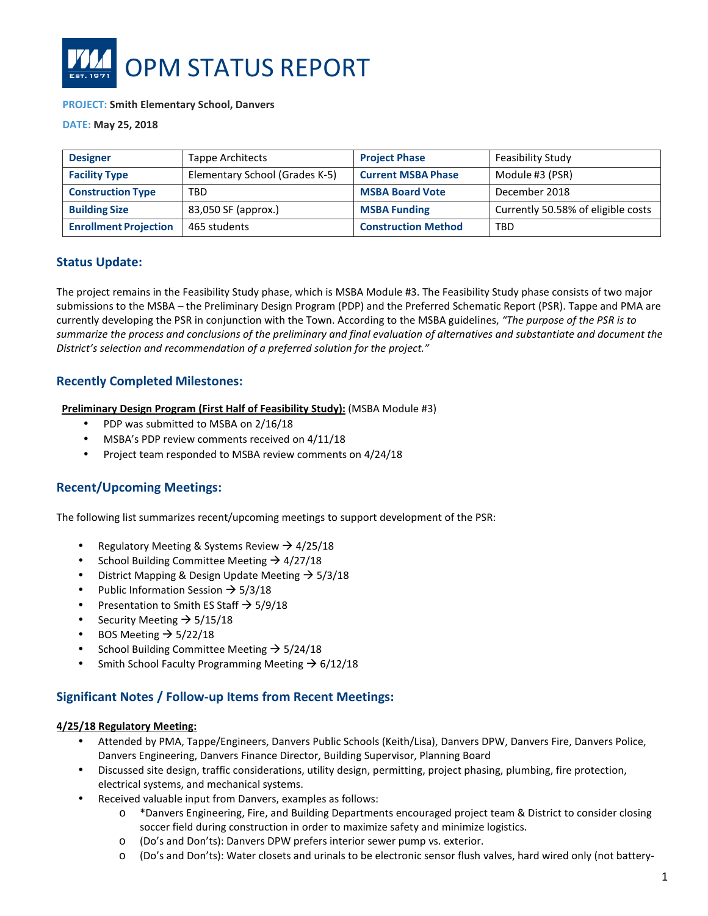

#### **PROJECT: Smith Elementary School, Danvers**

**DATE: May 25, 2018**

| <b>Designer</b>              | <b>Tappe Architects</b>        | <b>Project Phase</b>       | Feasibility Study                  |
|------------------------------|--------------------------------|----------------------------|------------------------------------|
| <b>Facility Type</b>         | Elementary School (Grades K-5) | <b>Current MSBA Phase</b>  | Module #3 (PSR)                    |
| <b>Construction Type</b>     | <b>TBD</b>                     | <b>MSBA Board Vote</b>     | December 2018                      |
| <b>Building Size</b>         | 83,050 SF (approx.)            | <b>MSBA Funding</b>        | Currently 50.58% of eligible costs |
| <b>Enrollment Projection</b> | 465 students                   | <b>Construction Method</b> | TBD                                |

### **Status Update:**

The project remains in the Feasibility Study phase, which is MSBA Module #3. The Feasibility Study phase consists of two major submissions to the MSBA – the Preliminary Design Program (PDP) and the Preferred Schematic Report (PSR). Tappe and PMA are currently developing the PSR in conjunction with the Town. According to the MSBA guidelines, *"The purpose of the PSR is to summarize the process and conclusions of the preliminary and final evaluation of alternatives and substantiate and document the District's selection and recommendation of a preferred solution for the project."* 

## **Recently Completed Milestones:**

**Preliminary Design Program (First Half of Feasibility Study):** (MSBA Module #3)

- PDP was submitted to MSBA on 2/16/18
- MSBA's PDP review comments received on 4/11/18
- Project team responded to MSBA review comments on 4/24/18

# **Recent/Upcoming Meetings:**

The following list summarizes recent/upcoming meetings to support development of the PSR:

- Regulatory Meeting & Systems Review  $\rightarrow$  4/25/18
- School Building Committee Meeting  $\rightarrow$  4/27/18
- District Mapping & Design Update Meeting  $\rightarrow$  5/3/18
- Public Information Session  $\rightarrow$  5/3/18
- Presentation to Smith ES Staff  $\rightarrow$  5/9/18
- Security Meeting  $\rightarrow$  5/15/18
- BOS Meeting  $\rightarrow$  5/22/18
- School Building Committee Meeting  $\rightarrow$  5/24/18
- Smith School Faculty Programming Meeting  $\rightarrow$  6/12/18

### **Significant Notes / Follow-up Items from Recent Meetings:**

#### **4/25/18 Regulatory Meeting:**

- Attended by PMA, Tappe/Engineers, Danvers Public Schools (Keith/Lisa), Danvers DPW, Danvers Fire, Danvers Police, Danvers Engineering, Danvers Finance Director, Building Supervisor, Planning Board
- Discussed site design, traffic considerations, utility design, permitting, project phasing, plumbing, fire protection, electrical systems, and mechanical systems.
- Received valuable input from Danvers, examples as follows:
	- o \*Danvers Engineering, Fire, and Building Departments encouraged project team & District to consider closing soccer field during construction in order to maximize safety and minimize logistics.
	- o (Do's and Don'ts): Danvers DPW prefers interior sewer pump vs. exterior.
	- o (Do's and Don'ts): Water closets and urinals to be electronic sensor flush valves, hard wired only (not battery-